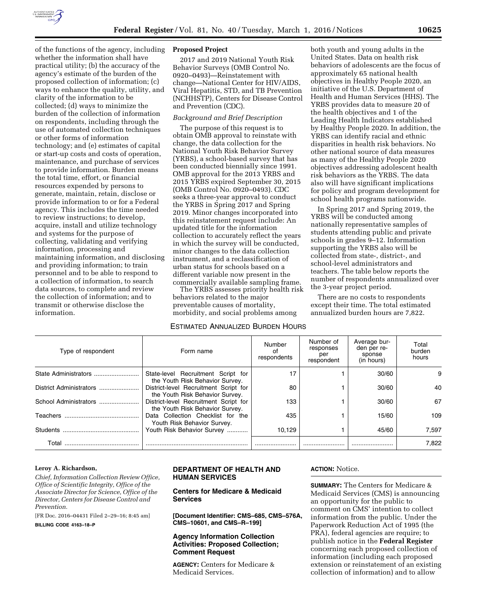

of the functions of the agency, including whether the information shall have practical utility; (b) the accuracy of the agency's estimate of the burden of the proposed collection of information; (c) ways to enhance the quality, utility, and clarity of the information to be collected; (d) ways to minimize the burden of the collection of information on respondents, including through the use of automated collection techniques or other forms of information technology; and (e) estimates of capital or start-up costs and costs of operation, maintenance, and purchase of services to provide information. Burden means the total time, effort, or financial resources expended by persons to generate, maintain, retain, disclose or provide information to or for a Federal agency. This includes the time needed to review instructions; to develop, acquire, install and utilize technology and systems for the purpose of collecting, validating and verifying information, processing and maintaining information, and disclosing and providing information; to train personnel and to be able to respond to a collection of information, to search data sources, to complete and review the collection of information; and to transmit or otherwise disclose the information.

## **Proposed Project**

2017 and 2019 National Youth Risk Behavior Surveys (OMB Control No. 0920–0493)—Reinstatement with change—National Center for HIV/AIDS, Viral Hepatitis, STD, and TB Prevention (NCHHSTP), Centers for Disease Control and Prevention (CDC).

# *Background and Brief Description*

The purpose of this request is to obtain OMB approval to reinstate with change, the data collection for the National Youth Risk Behavior Survey (YRBS), a school-based survey that has been conducted biennially since 1991. OMB approval for the 2013 YRBS and 2015 YRBS expired September 30, 2015 (OMB Control No. 0920–0493). CDC seeks a three-year approval to conduct the YRBS in Spring 2017 and Spring 2019. Minor changes incorporated into this reinstatement request include: An updated title for the information collection to accurately reflect the years in which the survey will be conducted, minor changes to the data collection instrument, and a reclassification of urban status for schools based on a different variable now present in the commercially available sampling frame.

The YRBS assesses priority health risk behaviors related to the major preventable causes of mortality, morbidity, and social problems among

### ESTIMATED ANNUALIZED BURDEN HOURS

both youth and young adults in the United States. Data on health risk behaviors of adolescents are the focus of approximately 65 national health objectives in Healthy People 2020, an initiative of the U.S. Department of Health and Human Services (HHS). The YRBS provides data to measure 20 of the health objectives and 1 of the Leading Health Indicators established by Healthy People 2020. In addition, the YRBS can identify racial and ethnic disparities in health risk behaviors. No other national source of data measures as many of the Healthy People 2020 objectives addressing adolescent health risk behaviors as the YRBS. The data also will have significant implications for policy and program development for school health programs nationwide.

In Spring 2017 and Spring 2019, the YRBS will be conducted among nationally representative samples of students attending public and private schools in grades 9–12. Information supporting the YRBS also will be collected from state-, district-, and school-level administrators and teachers. The table below reports the number of respondents annualized over the 3-year project period.

There are no costs to respondents except their time. The total estimated annualized burden hours are 7,822.

| Type of respondent    | Form name                                                                | Number<br>0t<br>respondents | Number of<br>responses<br>per<br>respondent | Average bur-<br>den per re-<br>sponse<br>(in hours) | Total<br>burden<br>hours |
|-----------------------|--------------------------------------------------------------------------|-----------------------------|---------------------------------------------|-----------------------------------------------------|--------------------------|
| State Administrators  | State-level Recruitment Script for<br>the Youth Risk Behavior Survey.    | 17                          |                                             | 30/60                                               | 9                        |
|                       | District-level Recruitment Script for<br>the Youth Risk Behavior Survey. | 80                          |                                             | 30/60                                               | 40                       |
| School Administrators | District-level Recruitment Script for<br>the Youth Risk Behavior Survey. | 133                         |                                             | 30/60                                               | 67                       |
| Teachers              | Data Collection Checklist for the<br>Youth Risk Behavior Survey.         | 435                         |                                             | 15/60                                               | 109                      |
| Students              | Youth Risk Behavior Survey                                               | 10.129                      |                                             | 45/60                                               | 7.597                    |
| Total                 |                                                                          |                             |                                             |                                                     | 7.822                    |

#### **Leroy A. Richardson,**

*Chief, Information Collection Review Office, Office of Scientific Integrity, Office of the Associate Director for Science, Office of the Director, Centers for Disease Control and Prevention.* 

[FR Doc. 2016–04431 Filed 2–29–16; 8:45 am]

**BILLING CODE 4163–18–P** 

# **DEPARTMENT OF HEALTH AND HUMAN SERVICES**

# **Centers for Medicare & Medicaid Services**

**[Document Identifier: CMS–685, CMS–576A, CMS–10601, and CMS–R–199]** 

# **Agency Information Collection Activities: Proposed Collection; Comment Request**

**AGENCY:** Centers for Medicare & Medicaid Services.

#### **ACTION:** Notice.

**SUMMARY:** The Centers for Medicare & Medicaid Services (CMS) is announcing an opportunity for the public to comment on CMS' intention to collect information from the public. Under the Paperwork Reduction Act of 1995 (the PRA), federal agencies are require; to publish notice in the **Federal Register**  concerning each proposed collection of information (including each proposed extension or reinstatement of an existing collection of information) and to allow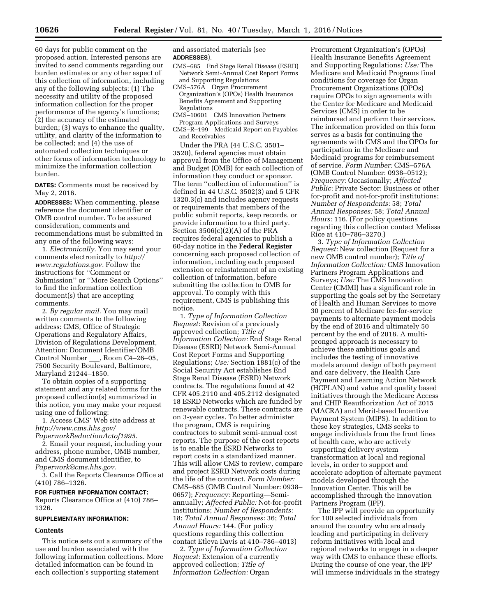60 days for public comment on the proposed action. Interested persons are invited to send comments regarding our burden estimates or any other aspect of this collection of information, including any of the following subjects: (1) The necessity and utility of the proposed information collection for the proper performance of the agency's functions; (2) the accuracy of the estimated burden; (3) ways to enhance the quality, utility, and clarity of the information to be collected; and (4) the use of automated collection techniques or other forms of information technology to minimize the information collection burden.

**DATES:** Comments must be received by May 2, 2016.

**ADDRESSES:** When commenting, please reference the document identifier or OMB control number. To be assured consideration, comments and recommendations must be submitted in any one of the following ways:

1. *Electronically.* You may send your comments electronically to *[http://](http://www.regulations.gov)  [www.regulations.gov.](http://www.regulations.gov)* Follow the instructions for ''Comment or Submission'' or ''More Search Options'' to find the information collection document(s) that are accepting comments.

2. *By regular mail.* You may mail written comments to the following address: CMS, Office of Strategic Operations and Regulatory Affairs, Division of Regulations Development, Attention: Document Identifier/OMB Control Number , Room C4–26–05, 7500 Security Boulevard, Baltimore, Maryland 21244–1850.

To obtain copies of a supporting statement and any related forms for the proposed collection(s) summarized in this notice, you may make your request using one of following:

1. Access CMS' Web site address at *[http://www.cms.hhs.gov/](http://www.cms.hhs.gov/PaperworkReductionActof1995)  [PaperworkReductionActof1995.](http://www.cms.hhs.gov/PaperworkReductionActof1995)* 

2. Email your request, including your address, phone number, OMB number, and CMS document identifier, to *[Paperwork@cms.hhs.gov.](mailto:Paperwork@cms.hhs.gov)* 

3. Call the Reports Clearance Office at (410) 786–1326.

**FOR FURTHER INFORMATION CONTACT:**  Reports Clearance Office at (410) 786– 1326.

#### **SUPPLEMENTARY INFORMATION:**

### **Contents**

This notice sets out a summary of the use and burden associated with the following information collections. More detailed information can be found in each collection's supporting statement

and associated materials (see **ADDRESSES**).

- CMS–685 End Stage Renal Disease (ESRD) Network Semi-Annual Cost Report Forms and Supporting Regulations
- CMS–576A Organ Procurement Organization's (OPOs) Health Insurance Benefits Agreement and Supporting Regulations
- CMS–10601 CMS Innovation Partners Program Applications and Surveys
- CMS–R–199 Medicaid Report on Payables and Receivables

Under the PRA (44 U.S.C. 3501– 3520), federal agencies must obtain approval from the Office of Management and Budget (OMB) for each collection of information they conduct or sponsor. The term "collection of information" is defined in 44 U.S.C. 3502(3) and 5 CFR 1320.3(c) and includes agency requests or requirements that members of the public submit reports, keep records, or provide information to a third party. Section 3506(c)(2)(A) of the PRA requires federal agencies to publish a 60-day notice in the **Federal Register**  concerning each proposed collection of information, including each proposed extension or reinstatement of an existing collection of information, before submitting the collection to OMB for approval. To comply with this requirement, CMS is publishing this notice.

1. *Type of Information Collection Request:* Revision of a previously approved collection; *Title of Information Collection:* End Stage Renal Disease (ESRD) Network Semi-Annual Cost Report Forms and Supporting Regulations; *Use:* Section 1881(c) of the Social Security Act establishes End Stage Renal Disease (ESRD) Network contracts. The regulations found at 42 CFR 405.2110 and 405.2112 designated 18 ESRD Networks which are funded by renewable contracts. These contracts are on 3-year cycles. To better administer the program, CMS is requiring contractors to submit semi-annual cost reports. The purpose of the cost reports is to enable the ESRD Networks to report costs in a standardized manner. This will allow CMS to review, compare and project ESRD Network costs during the life of the contract. *Form Number:*  CMS–685 (OMB Control Number: 0938– 0657); *Frequency:* Reporting—Semiannually; *Affected Public:* Not-for-profit institutions; *Number of Respondents:*  18; *Total Annual Responses:* 36; *Total Annual Hours:* 144. (For policy questions regarding this collection contact Etleva Davis at 410–786–4013)

2. *Type of Information Collection Request:* Extension of a currently approved collection; *Title of Information Collection:* Organ

Procurement Organization's (OPOs) Health Insurance Benefits Agreement and Supporting Regulations; *Use:* The Medicare and Medicaid Programs final conditions for coverage for Organ Procurement Organizations (OPOs) require OPOs to sign agreements with the Center for Medicare and Medicaid Services (CMS) in order to be reimbursed and perform their services. The information provided on this form serves as a basis for continuing the agreements with CMS and the OPOs for participation in the Medicare and Medicaid programs for reimbursement of service. *Form Number:* CMS–576A (OMB Control Number: 0938–0512); *Frequency:* Occasionally; *Affected Public:* Private Sector: Business or other for-profit and not-for-profit institutions; *Number of Respondents:* 58; *Total Annual Responses:* 58; *Total Annual Hours:* 116. (For policy questions regarding this collection contact Melissa Rice at 410–786–3270.)

3. *Type of Information Collection Request:* New collection (Request for a new OMB control number); *Title of Information Collection:* CMS Innovation Partners Program Applications and Surveys; *Use:* The CMS Innovation Center (CMMI) has a significant role in supporting the goals set by the Secretary of Health and Human Services to move 30 percent of Medicare fee-for-service payments to alternate payment models by the end of 2016 and ultimately 50 percent by the end of 2018. A multipronged approach is necessary to achieve these ambitious goals and includes the testing of innovative models around design of both payment and care delivery, the Health Care Payment and Learning Action Network (HCPLAN) and value and quality based initiatives through the Medicare Access and CHIP Reauthorization Act of 2015 (MACRA) and Merit-based Incentive Payment System (MIPS). In addition to these key strategies, CMS seeks to engage individuals from the front lines of health care, who are actively supporting delivery system transformation at local and regional levels, in order to support and accelerate adoption of alternate payment models developed through the Innovation Center. This will be accomplished through the Innovation Partners Program (IPP).

The IPP will provide an opportunity for 100 selected individuals from around the country who are already leading and participating in delivery reform initiatives with local and regional networks to engage in a deeper way with CMS to enhance these efforts. During the course of one year, the IPP will immerse individuals in the strategy